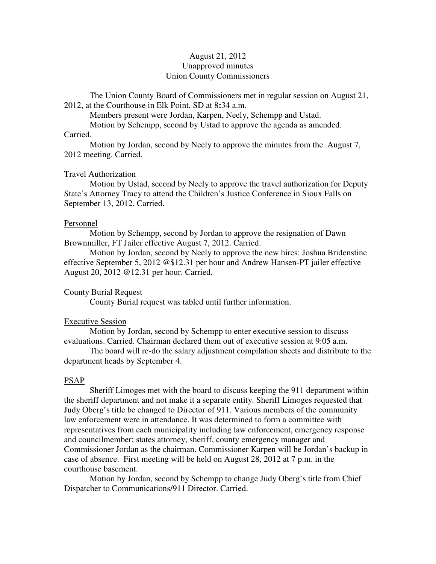# August 21, 2012 Unapproved minutes Union County Commissioners

The Union County Board of Commissioners met in regular session on August 21, 2012, at the Courthouse in Elk Point, SD at 8**:**34 a.m.

Members present were Jordan, Karpen, Neely, Schempp and Ustad.

Motion by Schempp, second by Ustad to approve the agenda as amended.

## Carried.

 Motion by Jordan, second by Neely to approve the minutes from the August 7, 2012 meeting. Carried.

## Travel Authorization

 Motion by Ustad, second by Neely to approve the travel authorization for Deputy State's Attorney Tracy to attend the Children's Justice Conference in Sioux Falls on September 13, 2012. Carried.

## Personnel

 Motion by Schempp, second by Jordan to approve the resignation of Dawn Brownmiller, FT Jailer effective August 7, 2012. Carried.

 Motion by Jordan, second by Neely to approve the new hires: Joshua Bridenstine effective September 5, 2012 @\$12.31 per hour and Andrew Hansen-PT jailer effective August 20, 2012 @12.31 per hour. Carried.

## County Burial Request

County Burial request was tabled until further information.

#### Executive Session

 Motion by Jordan, second by Schempp to enter executive session to discuss evaluations. Carried. Chairman declared them out of executive session at 9:05 a.m.

 The board will re-do the salary adjustment compilation sheets and distribute to the department heads by September 4.

## PSAP

 Sheriff Limoges met with the board to discuss keeping the 911 department within the sheriff department and not make it a separate entity. Sheriff Limoges requested that Judy Oberg's title be changed to Director of 911. Various members of the community law enforcement were in attendance. It was determined to form a committee with representatives from each municipality including law enforcement, emergency response and councilmember; states attorney, sheriff, county emergency manager and Commissioner Jordan as the chairman. Commissioner Karpen will be Jordan's backup in case of absence. First meeting will be held on August 28, 2012 at 7 p.m. in the courthouse basement.

 Motion by Jordan, second by Schempp to change Judy Oberg's title from Chief Dispatcher to Communications/911 Director. Carried.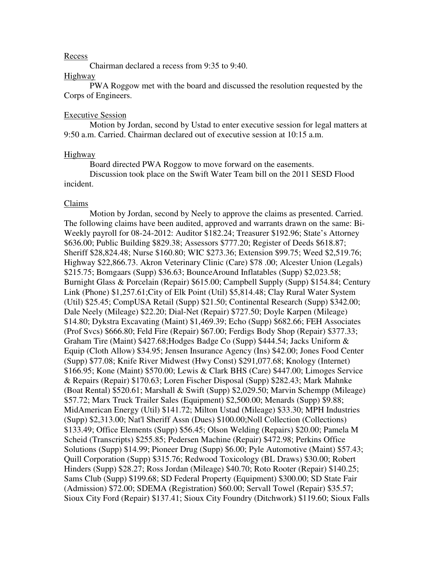#### Recess

Chairman declared a recess from 9:35 to 9:40.

## Highway

 PWA Roggow met with the board and discussed the resolution requested by the Corps of Engineers.

## Executive Session

 Motion by Jordan, second by Ustad to enter executive session for legal matters at 9:50 a.m. Carried. Chairman declared out of executive session at 10:15 a.m.

#### Highway

Board directed PWA Roggow to move forward on the easements.

 Discussion took place on the Swift Water Team bill on the 2011 SESD Flood incident.

## Claims

 Motion by Jordan, second by Neely to approve the claims as presented. Carried. The following claims have been audited, approved and warrants drawn on the same: Bi-Weekly payroll for 08-24-2012: Auditor \$182.24; Treasurer \$192.96; State's Attorney \$636.00; Public Building \$829.38; Assessors \$777.20; Register of Deeds \$618.87; Sheriff \$28,824.48; Nurse \$160.80; WIC \$273.36; Extension \$99.75; Weed \$2,519.76; Highway \$22,866.73. Akron Veterinary Clinic (Care) \$78 .00; Alcester Union (Legals) \$215.75; Bomgaars (Supp) \$36.63; BounceAround Inflatables (Supp) \$2,023.58; Burnight Glass & Porcelain (Repair) \$615.00; Campbell Supply (Supp) \$154.84; Century Link (Phone) \$1,257.61;City of Elk Point (Util) \$5,814.48; Clay Rural Water System (Util) \$25.45; CompUSA Retail (Supp) \$21.50; Continental Research (Supp) \$342.00; Dale Neely (Mileage) \$22.20; Dial-Net (Repair) \$727.50; Doyle Karpen (Mileage) \$14.80; Dykstra Excavating (Maint) \$1,469.39; Echo (Supp) \$682.66; FEH Associates (Prof Svcs) \$666.80; Feld Fire (Repair) \$67.00; Ferdigs Body Shop (Repair) \$377.33; Graham Tire (Maint) \$427.68;Hodges Badge Co (Supp) \$444.54; Jacks Uniform & Equip (Cloth Allow) \$34.95; Jensen Insurance Agency (Ins) \$42.00; Jones Food Center (Supp) \$77.08; Knife River Midwest (Hwy Const) \$291,077.68; Knology (Internet) \$166.95; Kone (Maint) \$570.00; Lewis & Clark BHS (Care) \$447.00; Limoges Service & Repairs (Repair) \$170.63; Loren Fischer Disposal (Supp) \$282.43; Mark Mahnke (Boat Rental) \$520.61; Marshall & Swift (Supp) \$2,029.50; Marvin Schempp (Mileage) \$57.72; Marx Truck Trailer Sales (Equipment) \$2,500.00; Menards (Supp) \$9.88; MidAmerican Energy (Util) \$141.72; Milton Ustad (Mileage) \$33.30; MPH Industries (Supp) \$2,313.00; Nat'l Sheriff Assn (Dues) \$100.00;Noll Collection (Collections) \$133.49; Office Elements (Supp) \$56.45; Olson Welding (Repairs) \$20.00; Pamela M Scheid (Transcripts) \$255.85; Pedersen Machine (Repair) \$472.98; Perkins Office Solutions (Supp) \$14.99; Pioneer Drug (Supp) \$6.00; Pyle Automotive (Maint) \$57.43; Quill Corporation (Supp) \$315.76; Redwood Toxicology (BL Draws) \$30.00; Robert Hinders (Supp) \$28.27; Ross Jordan (Mileage) \$40.70; Roto Rooter (Repair) \$140.25; Sams Club (Supp) \$199.68; SD Federal Property (Equipment) \$300.00; SD State Fair (Admission) \$72.00; SDEMA (Registration) \$60.00; Servall Towel (Repair) \$35.57; Sioux City Ford (Repair) \$137.41; Sioux City Foundry (Ditchwork) \$119.60; Sioux Falls